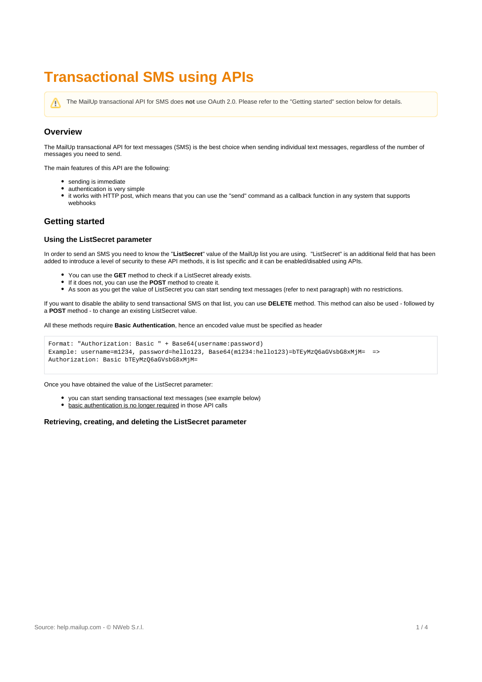# **Transactional SMS using APIs**

The MailUp transactional API for SMS does **not** use OAuth 2.0. Please refer to the "Getting started" section below for details.Λ

# **Overview**

The MailUp transactional API for text messages (SMS) is the best choice when sending individual text messages, regardless of the number of messages you need to send.

The main features of this API are the following:

- sending is immediate
- authentication is very simple
- $\bullet$ it works with HTTP post, which means that you can use the "send" command as a callback function in any system that supports webhooks

# **Getting started**

## **Using the ListSecret parameter**

In order to send an SMS you need to know the "**ListSecret**" value of the MailUp list you are using. "ListSecret" is an additional field that has been added to introduce a level of security to these API methods, it is list specific and it can be enabled/disabled using APIs.

- You can use the **GET** method to check if a ListSecret already exists.
- If it does not, you can use the **POST** method to create it.
- As soon as you get the value of ListSecret you can start sending text messages (refer to next paragraph) with no restrictions.

If you want to disable the ability to send transactional SMS on that list, you can use **DELETE** method. This method can also be used - followed by a **POST** method - to change an existing ListSecret value.

All these methods require **Basic Authentication**, hence an encoded value must be specified as header

```
Format: "Authorization: Basic " + Base64(username:password)
Example: username=m1234, password=hello123, Base64(m1234:hello123)=bTEyMzQ6aGVsbG8xMjM= =>
Authorization: Basic bTEyMzQ6aGVsbG8xMjM=
```
Once you have obtained the value of the ListSecret parameter:

- you can start sending transactional text messages (see example below)
- basic authentication is no longer required in those API calls

#### **Retrieving, creating, and deleting the ListSecret parameter**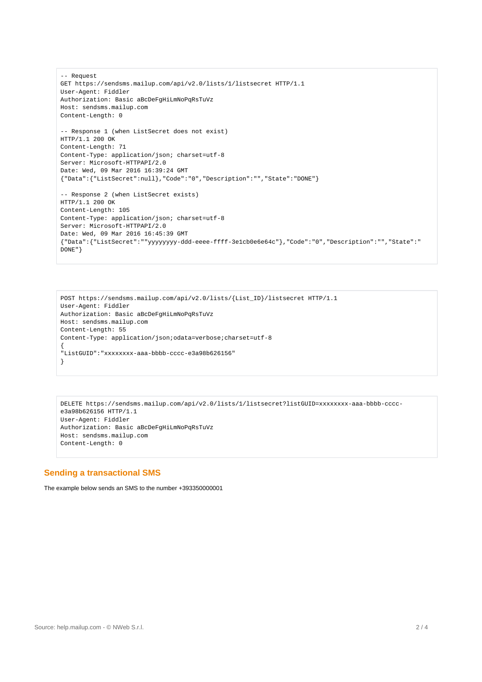```
-- Request
GET https://sendsms.mailup.com/api/v2.0/lists/1/listsecret HTTP/1.1
User-Agent: Fiddler
Authorization: Basic aBcDeFgHiLmNoPqRsTuVz
Host: sendsms.mailup.com
Content-Length: 0
-- Response 1 (when ListSecret does not exist)
HTTP/1.1 200 OK
Content-Length: 71
Content-Type: application/json; charset=utf-8
Server: Microsoft-HTTPAPI/2.0
Date: Wed, 09 Mar 2016 16:39:24 GMT
{"Data":{"ListSecret":null},"Code":"0","Description":"","State":"DONE"}
-- Response 2 (when ListSecret exists)
HTTP/1.1 200 OK
Content-Length: 105
Content-Type: application/json; charset=utf-8
Server: Microsoft-HTTPAPI/2.0
Date: Wed, 09 Mar 2016 16:45:39 GMT
{"Data":{"ListSecret":""yyyyyyyy-ddd-eeee-ffff-3e1cb0e6e64c"},"Code":"0","Description":"","State":"
DONE"}
```

```
POST https://sendsms.mailup.com/api/v2.0/lists/{List_ID}/listsecret HTTP/1.1
User-Agent: Fiddler
Authorization: Basic aBcDeFgHiLmNoPqRsTuVz
Host: sendsms.mailup.com
Content-Length: 55
Content-Type: application/json;odata=verbose;charset=utf-8
{
"ListGUID":"xxxxxxxx-aaa-bbbb-cccc-e3a98b626156"
}
```

```
DELETE https://sendsms.mailup.com/api/v2.0/lists/1/listsecret?listGUID=xxxxxxxx-aaa-bbbb-cccc-
e3a98b626156 HTTP/1.1
User-Agent: Fiddler
Authorization: Basic aBcDeFgHiLmNoPqRsTuVz
Host: sendsms.mailup.com
Content-Length: 0
```
# **Sending a transactional SMS**

The example below sends an SMS to the number +393350000001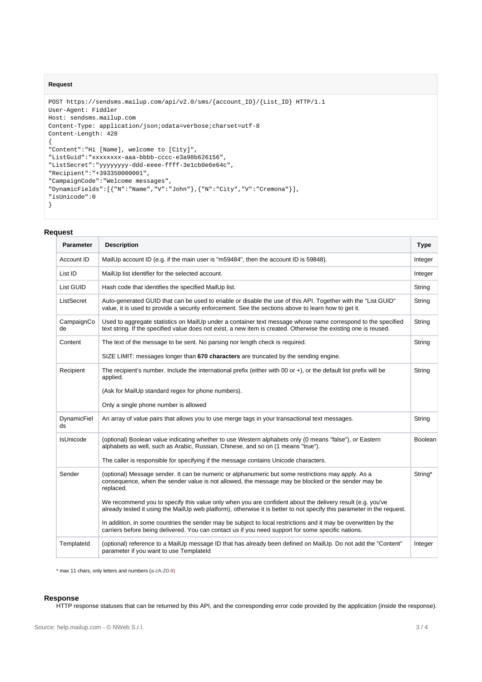### **Request**

```
POST https://sendsms.mailup.com/api/v2.0/sms/{account_ID}/{List_ID} HTTP/1.1
User-Agent: Fiddler
Host: sendsms.mailup.com
Content-Type: application/json;odata=verbose;charset=utf-8
Content-Length: 428
\left\{ \right."Content":"Hi [Name], welcome to [City]",
"ListGuid":"xxxxxxxx-aaa-bbbb-cccc-e3a98b626156",
"ListSecret":"yyyyyyyy-ddd-eeee-ffff-3e1cb0e6e64c",
"Recipient":"+393350000001",
"CampaignCode":"Welcome messages",
"DynamicFields":[{"N":"Name","V":"John"},{"N":"City","V":"Cremona"}],
"isUnicode":0
}
```
## **Request**

| <b>Parameter</b>  | <b>Description</b>                                                                                                                                                                                                                         | <b>Type</b>    |  |
|-------------------|--------------------------------------------------------------------------------------------------------------------------------------------------------------------------------------------------------------------------------------------|----------------|--|
| Account ID        | MailUp account ID (e.g. if the main user is "m59484", then the account ID is 59848).                                                                                                                                                       |                |  |
| List ID           | MailUp list identifier for the selected account.                                                                                                                                                                                           |                |  |
| List GUID         | Hash code that identifies the specified MailUp list.                                                                                                                                                                                       |                |  |
| ListSecret        | Auto-generated GUID that can be used to enable or disable the use of this API. Together with the "List GUID"<br>value, it is used to provide a security enforcement. See the sections above to learn how to get it.                        |                |  |
| CampaignCo<br>de  | Used to aggregate statistics on MailUp under a container text message whose name correspond to the specified<br>String<br>text string. If the specified value does not exist, a new item is created. Otherwise the existing one is reused. |                |  |
| Content           | The text of the message to be sent. No parsing nor length check is required.                                                                                                                                                               | String         |  |
|                   | SIZE LIMIT: messages longer than 670 characters are truncated by the sending engine.                                                                                                                                                       |                |  |
| Recipient         | The recipient's number. Include the international prefix (either with 00 or $+)$ , or the default list prefix will be<br>applied.                                                                                                          | String         |  |
|                   | (Ask for MailUp standard regex for phone numbers).                                                                                                                                                                                         |                |  |
|                   | Only a single phone number is allowed                                                                                                                                                                                                      |                |  |
| DynamicFiel<br>ds | An array of value pairs that allows you to use merge tags in your transactional text messages.<br>String                                                                                                                                   |                |  |
| IsUnicode         | (optional) Boolean value indicating whether to use Western alphabets only (0 means "false"), or Eastern<br>alphabets as well, such as Arabic, Russian, Chinese, and so on (1 means "true").                                                | <b>Boolean</b> |  |
|                   | The caller is responsible for specifying if the message contains Unicode characters.                                                                                                                                                       |                |  |
| Sender            | (optional) Message sender. It can be numeric or alphanumeric but some restrictions may apply. As a<br>consequence, when the sender value is not allowed, the message may be blocked or the sender may be<br>replaced.                      | String*        |  |
|                   | We recommend you to specify this value only when you are confident about the delivery result (e.g. you've<br>already tested it using the MailUp web platform), otherwise it is better to not specify this parameter in the request.        |                |  |
|                   | In addition, in some countries the sender may be subject to local restrictions and it may be overwritten by the<br>carriers before being delivered. You can contact us if you need support for some specific nations.                      |                |  |
| TemplateId        | (optional) reference to a MailUp message ID that has already been defined on MailUp. Do not add the "Content"<br>Integer<br>parameter if you want to use Templateld                                                                        |                |  |

\* max 11 chars, only letters and numbers (a-zA-Z0-9)

#### **Response**

HTTP response statuses that can be returned by this API, and the corresponding error code provided by the application (inside the response).